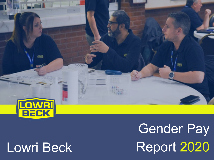

# Lowri Beck

**Gender Pay** Report 2020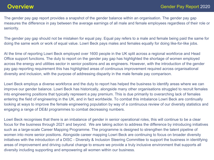The gender pay gap report provides a snapshot of the gender balance within an organisation. The gender pay gap measures the difference in pay between the average earnings of all male and female employees regardless of their role or seniority.

The gender pay gap should not be mistaken for equal pay. Equal pay refers to a male and female being paid the same for doing the same work or work of equal value. Lowri Beck pays males and females equally for doing like-for-like jobs.

At the time of reporting Lowri Beck employed over 1600 people in the UK split across a regional workforce and Head Office support functions. The duty to report on the gender pay gap has highlighted the shortage of women employed across the energy and utilities sector in senior positions and as engineers. However, with the introduction of the gender pay gap reporting requirement this has highlighted areas of continuous improvement required across organisational diversity and inclusion, with the purpose of addressing disparity in the male female pay comparison.

Lowri Beck employs a diverse workforce and the duty to report has helped the business to identify areas where we can improve our gender balance. Lowri Beck has historically, alongside many other organisations struggled to recruit females into engineering positions that typically represent a pay premium. This is due primarily to overarching lack of females entering the field of engineering in the UK, and in fact worldwide. To combat this imbalance Lowri Beck are continually looking at ways to improve the female engineering population by way of a continuous review of our diversity statistics and engaging a range of DE&I programmes to combat decreasing numbers.

Lowri Beck recognises that there is an imbalance of gender in senior operational roles, this will continue to be a clear focus for the business through 2021 and beyond. We are taking action to address the difference by introducing initiatives such as a large-scale Career Mapping Programme. The programme is designed to strengthen the talent pipeline of women into more senior positions. Alongside career mapping Lowri Beck are continuing to focus on broader diversity initiatives with the introduction of a DISC - Diversity & Inclusion Steering Committee to support the business in identifying areas of improvement and driving cultural change to ensure we provide a truly inclusive environment that supports all diversity including supporting and empowering all women within our business.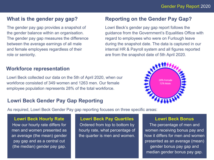# **What is the gender pay gap?**

The gender pay gap provides a snapshot of the gender balance within an organisation. The gender pay gap measures the difference between the average earnings of all male and female employees regardless of their role or seniority.

# **Reporting on the Gender Pay Gap?**

Lowri Beck's gender pay gap report follows the guidance from the Government's Equalities Office with regard to employees who were on Furlough leave during the snapshot date. The data is captured in our internal HR & Payroll system and all figures reported are from the snapshot date of 5th April 2020.

# **Workforce representation**

Lowri Beck collected our data on the 5th of April 2020, when our workforce consisted of 349 women and 1263 men. Our female employee population represents 28% of the total workforce.

# **Lowri Beck Gender Pay Gap Reporting**



As required, Lowri Beck Gender Pay gap reporting focuses on three specific areas:

**Lowri Beck Hourly Rate** How our hourly rate differs for men and women presented as an average (the mean) gender pay gap and as a central cut (the median) gender pay gap.

**Lowri Beck Pay Quartiles**

Ordered from top to bottom by hourly rate, what percentage of the quarter is men and women.

#### **Lowri Beck Bonus**

The percentage of men and women receiving bonus pay and how it differs for men and women presented as an average (mean) gender bonus pay gap and median gender bonus pay gap.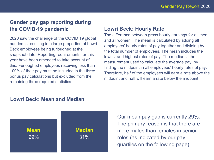# **Gender pay gap reporting during the COVID-19 pandemic**

2020 saw the challenge of the COVID 19 global pandemic resulting in a large proportion of Lowri Beck employees being furloughed at the snapshot date. Reporting requirements for this year have been amended to take account of this. Furloughed employees receiving less than 100% of their pay must be included in the three bonus pay calculations but excluded from the remaining three required statistics.

### **Lowri Beck: Hourly Rate**

The difference between gross hourly earnings for all men and all women. The mean is calculated by adding all employees' hourly rates of pay together and dividing by the total number of employees. The mean includes the lowest and highest rates of pay. The median is the measurement used to calculate the average pay, by finding the midpoint in all employees' hourly rates of pay. Therefore, half of the employees will earn a rate above the midpoint and half will earn a rate below the midpoint.

# **Lowri Beck: Mean and Median**



Our mean pay gap is currently 29%. The primary reason is that there are more males than females in senior roles (as indicated by our pay quartiles on the following page).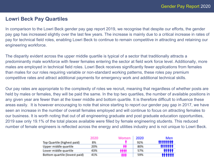# **Lowri Beck Pay Quartiles**

In comparison to the Lowri Beck gender pay gap report 2019, we recognise that despite our efforts, the gender pay gap has increased slightly over the last few years. The increase is mainly due to a critical increase in rates of pay for technical field roles, enabling Lowri Beck to continue to remain competitive in attracting and retaining our engineering workforce.

The disparity evident across the upper middle quartile is typical of a sector that traditionally attracts a predominantly male workforce with fewer females entering the sector at field work force level. Additionally, more males are employed in technical field roles. Lowri Beck receives significantly fewer applications from females than males for our roles requiring variable or non-standard working patterns, these roles pay premium competitive rates and attract additional payments for emergency work and additional technical skills.

Our pay rates are appropriate to the complexity of roles we recruit, meaning that regardless of whether posts are held by males or females, they will be paid the same. In the top two quartiles, the number of available positions in any given year are fewer than at the lower middle and bottom quartile. It is therefore difficult to influence these areas easily. It is however encouraging to note that since starting to report our gender pay gap in 2017, we have seen an increase in the number of overall females employed and will continue to focus on attracting females to our business. It is worth noting that out of all engineering graduate and post graduate education opportunities, 2019 saw only 19.1% of the total places available were filled by female engineering students. This reduced number of female engineers is reflected across the energy and utilities industry and is not unique to Lowri Beck.

|                               | 2020 | Women | 2020 | Men          |
|-------------------------------|------|-------|------|--------------|
| Top Quartile (highest paid)   | 8%   |       | 92%  | ********     |
| Upper middle quartile         | 20%  | Ы     | 80%  | *******      |
| Lower middle quartile         | 43%  |       | 57%  | <b>*****</b> |
| Bottom quartile (lowest paid) | 41%  | п     | 59%  |              |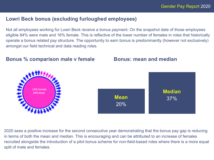# **Lowri Beck bonus (excluding furloughed employees)**

Not all employees working for Lowri Beck receive a bonus payment. On the snapshot date of those employees eligible 84% were male and 16% female. This is reflective of the lower number of females in roles that historically operate a bonus related pay structure. The opportunity to earn bonus is predominantly (however not exclusively) amongst our field technical and data reading roles.



**Bonus % comparison male v female Bonus: mean and median**

2020 sees a positive increase for the second consecutive year demonstrating that the bonus pay gap is reducing in terms of both the mean and median. This is encouraging and can be attributed to an increase of females recruited alongside the introduction of a pilot bonus scheme for non-field-based roles where there is a more equal split of male and females.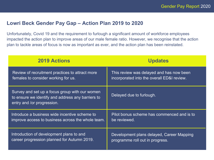# **Lowri Beck Gender Pay Gap – Action Plan 2019 to 2020**

Unfortunately, Covid 19 and the requirement to furlough a significant amount of workforce employees impacted the action plan to improve areas of our male female ratio. However, we recognise that the action plan to tackle areas of focus is now as important as ever, and the action plan has been reinstated.

| <b>2019 Actions</b>                                                                                                               | <b>Updates</b>                             |  |
|-----------------------------------------------------------------------------------------------------------------------------------|--------------------------------------------|--|
| Review of recruitment practices to attract more                                                                                   | This review was delayed and has now been   |  |
| females to consider working for us.                                                                                               | incorporated into the overall ED&I review. |  |
| Survey and set up a focus group with our women<br>to ensure we identify and address any barriers to<br>entry and /or progression. | Delayed due to furlough.                   |  |
| Introduce a business wide incentive scheme to                                                                                     | Pilot bonus scheme has commenced and is to |  |
| improve access to business across the whole team.                                                                                 | be reviewed.                               |  |
| Introduction of development plans to and                                                                                          | Development plans delayed, Career Mapping  |  |
| career progression planned for Autumn 2019.                                                                                       | programme roll out in progress.            |  |